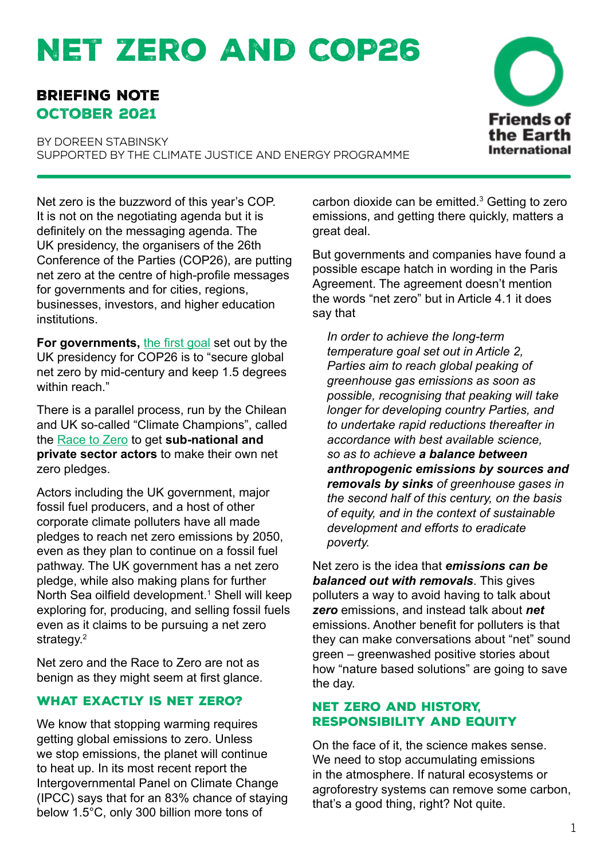# Net Zero and COP26

# Briefing note October 2021

BY DORFEN STABINSKY supported by the Climate Justice and Energy programme



Net zero is the buzzword of this year's COP. It is not on the negotiating agenda but it is definitely on the messaging agenda. The UK presidency, the organisers of the 26th Conference of the Parties (COP26), are putting net zero at the centre of high-profile messages for governments and for cities, regions, businesses, investors, and higher education institutions.

**For governments,** [the first goal](https://ukcop26.org/cop26-goals/) set out by the UK presidency for COP26 is to "secure global net zero by mid-century and keep 1.5 degrees within reach."

There is a parallel process, run by the Chilean and UK so-called "Climate Champions", called the [Race to Zero](https://unfccc.int/climate-action/race-to-zero-campaign) to get **sub-national and private sector actors** to make their own net zero pledges.

Actors including the UK government, major fossil fuel producers, and a host of other corporate climate polluters have all made pledges to reach net zero emissions by 2050, even as they plan to continue on a fossil fuel pathway. The UK government has a net zero pledge, while also making plans for further North Sea oilfield development.<sup>1</sup> Shell will keep exploring for, producing, and selling fossil fuels even as it claims to be pursuing a net zero strategy.<sup>2</sup>

Net zero and the Race to Zero are not as benign as they might seem at first glance.

# WHAT EXACTLY IS NET ZERO?

We know that stopping warming requires getting global emissions to zero. Unless we stop emissions, the planet will continue to heat up. In its most recent report the Intergovernmental Panel on Climate Change (IPCC) says that for an 83% chance of staying below 1.5°C, only 300 billion more tons of

carbon dioxide can be emitted. $3$  Getting to zero emissions, and getting there quickly, matters a great deal.

But governments and companies have found a possible escape hatch in wording in the Paris Agreement. The agreement doesn't mention the words "net zero" but in Article 4.1 it does say that

*In order to achieve the long-term temperature goal set out in Article 2, Parties aim to reach global peaking of greenhouse gas emissions as soon as possible, recognising that peaking will take longer for developing country Parties, and to undertake rapid reductions thereafter in accordance with best available science, so as to achieve a balance between anthropogenic emissions by sources and removals by sinks of greenhouse gases in the second half of this century, on the basis of equity, and in the context of sustainable development and efforts to eradicate poverty.*

Net zero is the idea that *emissions can be balanced out with removals*. This gives polluters a way to avoid having to talk about *zero* emissions, and instead talk about *net* emissions. Another benefit for polluters is that they can make conversations about "net" sound green – greenwashed positive stories about how "nature based solutions" are going to save the day.

# Net zero and history, responsibility and equity

On the face of it, the science makes sense. We need to stop accumulating emissions in the atmosphere. If natural ecosystems or agroforestry systems can remove some carbon, that's a good thing, right? Not quite.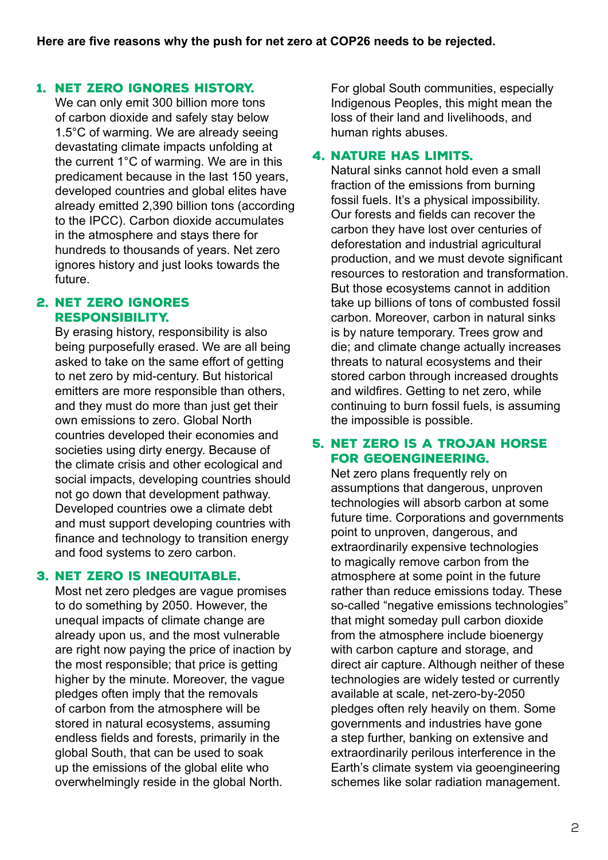#### 1. Net zero ignores history.

We can only emit 300 billion more tons of carbon dioxide and safely stay below 1.5°C of warming. We are already seeing devastating climate impacts unfolding at the current 1°C of warming. We are in this predicament because in the last 150 years, developed countries and global elites have already emitted 2,390 billion tons (according to the IPCC). Carbon dioxide accumulates in the atmosphere and stays there for hundreds to thousands of years. Net zero ignores history and just looks towards the future.

#### 2. Net zero ignores responsibility.

By erasing history, responsibility is also being purposefully erased. We are all being asked to take on the same effort of getting to net zero by mid-century. But historical emitters are more responsible than others, and they must do more than just get their own emissions to zero. Global North countries developed their economies and societies using dirty energy. Because of the climate crisis and other ecological and social impacts, developing countries should not go down that development pathway. Developed countries owe a climate debt and must support developing countries with finance and technology to transition energy and food systems to zero carbon.

#### 3. Net zero is inequitable.

Most net zero pledges are vague promises to do something by 2050. However, the unequal impacts of climate change are already upon us, and the most vulnerable are right now paying the price of inaction by the most responsible; that price is getting higher by the minute. Moreover, the vague pledges often imply that the removals of carbon from the atmosphere will be stored in natural ecosystems, assuming endless fields and forests, primarily in the global South, that can be used to soak up the emissions of the global elite who overwhelmingly reside in the global North.

For global South communities, especially Indigenous Peoples, this might mean the loss of their land and livelihoods, and human rights abuses.

#### 4. Nature has limits.

Natural sinks cannot hold even a small fraction of the emissions from burning fossil fuels. It's a physical impossibility. Our forests and fields can recover the carbon they have lost over centuries of deforestation and industrial agricultural production, and we must devote significant resources to restoration and transformation. But those ecosystems cannot in addition take up billions of tons of combusted fossil carbon. Moreover, carbon in natural sinks is by nature temporary. Trees grow and die; and climate change actually increases threats to natural ecosystems and their stored carbon through increased droughts and wildfires. Getting to net zero, while continuing to burn fossil fuels, is assuming the impossible is possible.

#### 5. Net zero is a Trojan horse for geoengineering.

Net zero plans frequently rely on assumptions that dangerous, unproven technologies will absorb carbon at some future time. Corporations and governments point to unproven, dangerous, and extraordinarily expensive technologies to magically remove carbon from the atmosphere at some point in the future rather than reduce emissions today. These so-called "negative emissions technologies" that might someday pull carbon dioxide from the atmosphere include bioenergy with carbon capture and storage, and direct air capture. Although neither of these technologies are widely tested or currently available at scale, net-zero-by-2050 pledges often rely heavily on them. Some governments and industries have gone a step further, banking on extensive and extraordinarily perilous interference in the Earth's climate system via geoengineering schemes like solar radiation management.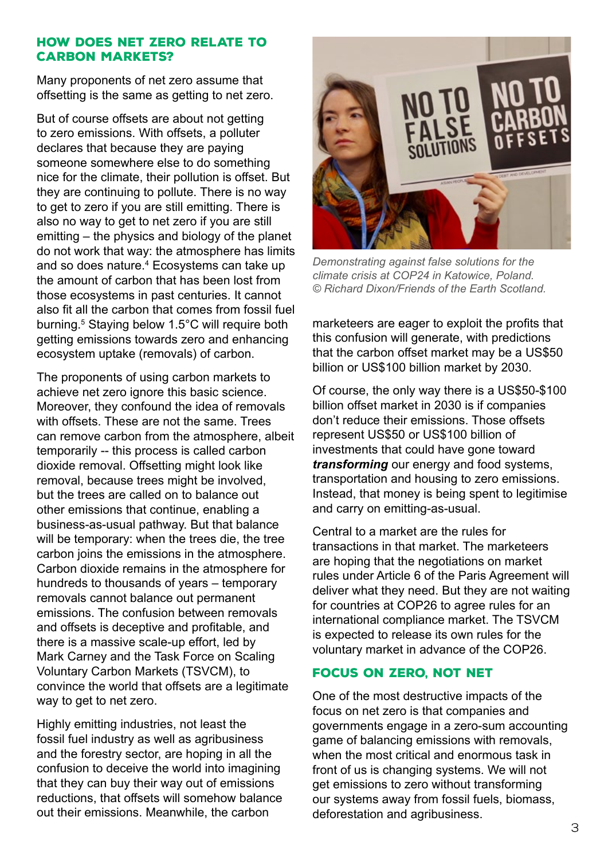#### How does net zero relate to **CARBON MARKETS?**

Many proponents of net zero assume that offsetting is the same as getting to net zero.

But of course offsets are about not getting to zero emissions. With offsets, a polluter declares that because they are paying someone somewhere else to do something nice for the climate, their pollution is offset. But they are continuing to pollute. There is no way to get to zero if you are still emitting. There is also no way to get to net zero if you are still emitting – the physics and biology of the planet do not work that way: the atmosphere has limits and so does nature.<sup>4</sup> Ecosystems can take up the amount of carbon that has been lost from those ecosystems in past centuries. It cannot also fit all the carbon that comes from fossil fuel burning.<sup>5</sup> Staying below 1.5°C will require both getting emissions towards zero and enhancing ecosystem uptake (removals) of carbon.

The proponents of using carbon markets to achieve net zero ignore this basic science. Moreover, they confound the idea of removals with offsets. These are not the same. Trees can remove carbon from the atmosphere, albeit temporarily -- this process is called carbon dioxide removal. Offsetting might look like removal, because trees might be involved, but the trees are called on to balance out other emissions that continue, enabling a business-as-usual pathway. But that balance will be temporary: when the trees die, the tree carbon joins the emissions in the atmosphere. Carbon dioxide remains in the atmosphere for hundreds to thousands of years – temporary removals cannot balance out permanent emissions. The confusion between removals and offsets is deceptive and profitable, and there is a massive scale-up effort, led by Mark Carney and the Task Force on Scaling Voluntary Carbon Markets (TSVCM), to convince the world that offsets are a legitimate way to get to net zero.

Highly emitting industries, not least the fossil fuel industry as well as agribusiness and the forestry sector, are hoping in all the confusion to deceive the world into imagining that they can buy their way out of emissions reductions, that offsets will somehow balance out their emissions. Meanwhile, the carbon



*Demonstrating against false solutions for the climate crisis at COP24 in Katowice, Poland. © Richard Dixon/Friends of the Earth Scotland.*

marketeers are eager to exploit the profits that this confusion will generate, with predictions that the carbon offset market may be a US\$50 billion or US\$100 billion market by 2030.

Of course, the only way there is a US\$50-\$100 billion offset market in 2030 is if companies don't reduce their emissions. Those offsets represent US\$50 or US\$100 billion of investments that could have gone toward *transforming* our energy and food systems, transportation and housing to zero emissions. Instead, that money is being spent to legitimise and carry on emitting-as-usual.

Central to a market are the rules for transactions in that market. The marketeers are hoping that the negotiations on market rules under Article 6 of the Paris Agreement will deliver what they need. But they are not waiting for countries at COP26 to agree rules for an international compliance market. The TSVCM is expected to release its own rules for the voluntary market in advance of the COP26.

## Focus on zero, not net

One of the most destructive impacts of the focus on net zero is that companies and governments engage in a zero-sum accounting game of balancing emissions with removals, when the most critical and enormous task in front of us is changing systems. We will not get emissions to zero without transforming our systems away from fossil fuels, biomass, deforestation and agribusiness.